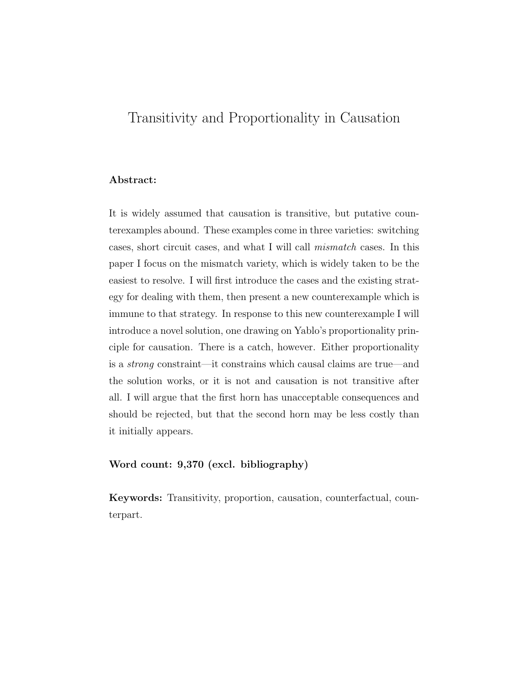# Transitivity and Proportionality in Causation

### Abstract:

It is widely assumed that causation is transitive, but putative counterexamples abound. These examples come in three varieties: switching cases, short circuit cases, and what I will call *mismatch* cases. In this paper I focus on the mismatch variety, which is widely taken to be the easiest to resolve. I will first introduce the cases and the existing strategy for dealing with them, then present a new counterexample which is immune to that strategy. In response to this new counterexample I will introduce a novel solution, one drawing on Yablo's proportionality principle for causation. There is a catch, however. Either proportionality is a *strong* constraint—it constrains which causal claims are true—and the solution works, or it is not and causation is not transitive after all. I will argue that the first horn has unacceptable consequences and should be rejected, but that the second horn may be less costly than it initially appears.

### Word count: 9,370 (excl. bibliography)

Keywords: Transitivity, proportion, causation, counterfactual, counterpart.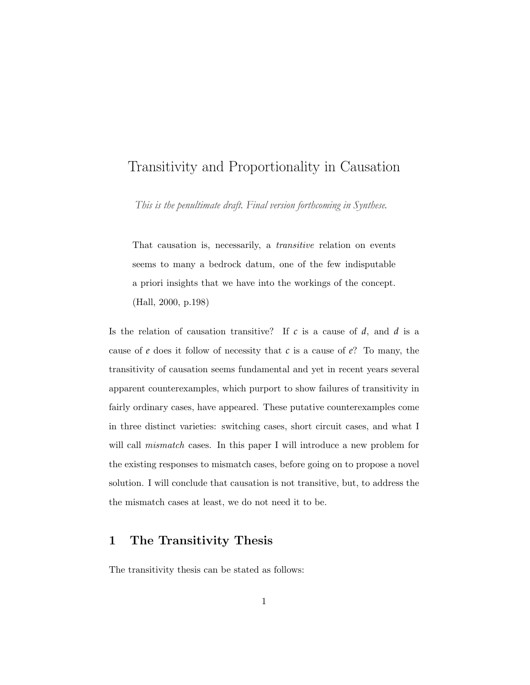# Transitivity and Proportionality in Causation

*This is the penultimate draft. Final version forthcoming in Synthese.*

That causation is, necessarily, a *transitive* relation on events seems to many a bedrock datum, one of the few indisputable a priori insights that we have into the workings of the concept. (Hall, 2000, p.198)

Is the relation of causation transitive? If *c* is a cause of *d*, and *d* is a cause of *e* does it follow of necessity that *c* is a cause of *e*? To many, the transitivity of causation seems fundamental and yet in recent years several apparent counterexamples, which purport to show failures of transitivity in fairly ordinary cases, have appeared. These putative counterexamples come in three distinct varieties: switching cases, short circuit cases, and what I will call *mismatch* cases. In this paper I will introduce a new problem for the existing responses to mismatch cases, before going on to propose a novel solution. I will conclude that causation is not transitive, but, to address the the mismatch cases at least, we do not need it to be.

# 1 The Transitivity Thesis

The transitivity thesis can be stated as follows: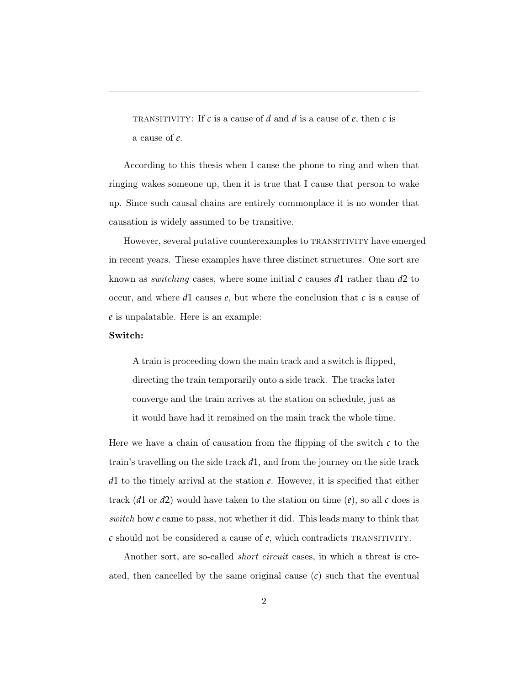TRANSITIVITY: If  $c$  is a cause of  $d$  and  $d$  is a cause of  $e$ , then  $c$  is a cause of *e*.

According to this thesis when I cause the phone to ring and when that ringing wakes someone up, then it is true that I cause that person to wake up. Since such causal chains are entirely commonplace it is no wonder that causation is widely assumed to be transitive.

However, several putative counterexamples to TRANSITIVITY have emerged in recent years. These examples have three distinct structures. One sort are known as *switching* cases, where some initial *c* causes *d*1 rather than *d*2 to occur, and where *d*1 causes *e*, but where the conclusion that *c* is a cause of *e* is unpalatable. Here is an example:

#### Switch:

A train is proceeding down the main track and a switch is flipped, directing the train temporarily onto a side track. The tracks later converge and the train arrives at the station on schedule, just as it would have had it remained on the main track the whole time.

Here we have a chain of causation from the flipping of the switch *c* to the train's travelling on the side track *d*1, and from the journey on the side track *d*1 to the timely arrival at the station *e*. However, it is specified that either track (*d*1 or *d*2) would have taken to the station on time  $(e)$ , so all *c* does is *switch* how *e* came to pass, not whether it did. This leads many to think that *c* should not be considered a cause of *e*, which contradicts TRANSITIVITY.

Another sort, are so-called *short circuit* cases, in which a threat is created, then cancelled by the same original cause (*c*) such that the eventual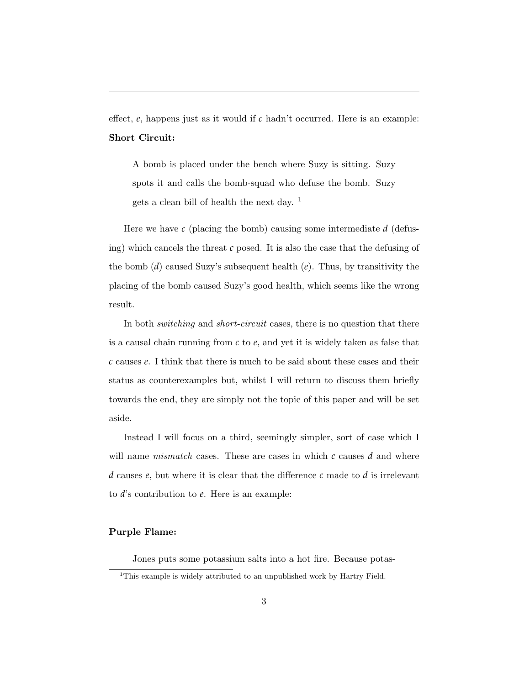effect,  $e$ , happens just as it would if  $c$  hadn't occurred. Here is an example: Short Circuit:

A bomb is placed under the bench where Suzy is sitting. Suzy spots it and calls the bomb-squad who defuse the bomb. Suzy gets a clean bill of health the next day.  $1$ 

Here we have *c* (placing the bomb) causing some intermediate *d* (defusing) which cancels the threat *c* posed. It is also the case that the defusing of the bomb (*d*) caused Suzy's subsequent health (*e*). Thus, by transitivity the placing of the bomb caused Suzy's good health, which seems like the wrong result.

In both *switching* and *short-circuit* cases, there is no question that there is a causal chain running from *c* to *e*, and yet it is widely taken as false that *c* causes *e*. I think that there is much to be said about these cases and their status as counterexamples but, whilst I will return to discuss them briefly towards the end, they are simply not the topic of this paper and will be set aside.

Instead I will focus on a third, seemingly simpler, sort of case which I will name *mismatch* cases. These are cases in which *c* causes *d* and where  $d$  causes  $e$ , but where it is clear that the difference  $c$  made to  $d$  is irrelevant to *d*'s contribution to *e*. Here is an example:

#### Purple Flame:

Jones puts some potassium salts into a hot fire. Because potas-

<sup>&</sup>lt;sup>1</sup>This example is widely attributed to an unpublished work by Hartry Field.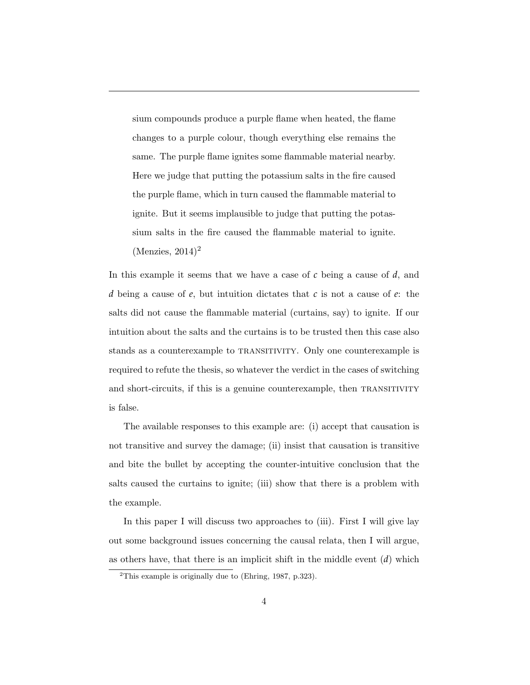sium compounds produce a purple flame when heated, the flame changes to a purple colour, though everything else remains the same. The purple flame ignites some flammable material nearby. Here we judge that putting the potassium salts in the fire caused the purple flame, which in turn caused the flammable material to ignite. But it seems implausible to judge that putting the potassium salts in the fire caused the flammable material to ignite.  $(Menzies, 2014)^2$ 

In this example it seems that we have a case of *c* being a cause of *d*, and *d* being a cause of *e*, but intuition dictates that *c* is not a cause of *e*: the salts did not cause the flammable material (curtains, say) to ignite. If our intuition about the salts and the curtains is to be trusted then this case also stands as a counterexample to transitivity. Only one counterexample is required to refute the thesis, so whatever the verdict in the cases of switching and short-circuits, if this is a genuine counterexample, then TRANSITIVITY is false.

The available responses to this example are: (i) accept that causation is not transitive and survey the damage; (ii) insist that causation is transitive and bite the bullet by accepting the counter-intuitive conclusion that the salts caused the curtains to ignite; (iii) show that there is a problem with the example.

In this paper I will discuss two approaches to (iii). First I will give lay out some background issues concerning the causal relata, then I will argue, as others have, that there is an implicit shift in the middle event (*d*) which

<sup>2</sup>This example is originally due to (Ehring, 1987, p.323).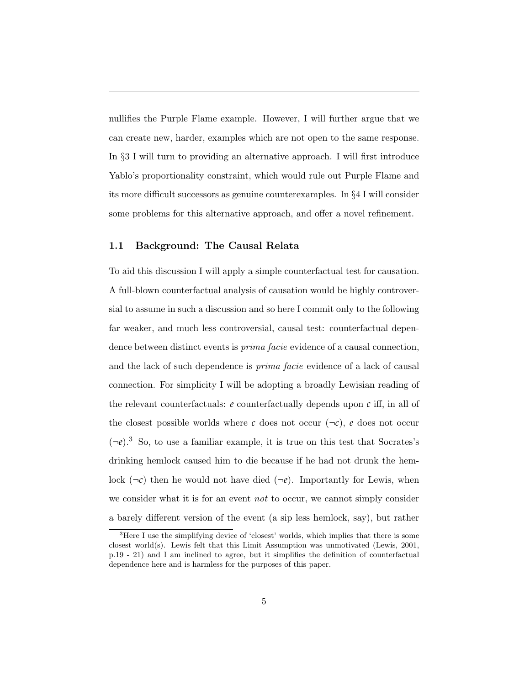nullifies the Purple Flame example. However, I will further argue that we can create new, harder, examples which are not open to the same response. In *§*3 I will turn to providing an alternative approach. I will first introduce Yablo's proportionality constraint, which would rule out Purple Flame and its more difficult successors as genuine counterexamples. In §4 I will consider some problems for this alternative approach, and offer a novel refinement.

### 1.1 Background: The Causal Relata

To aid this discussion I will apply a simple counterfactual test for causation. A full-blown counterfactual analysis of causation would be highly controversial to assume in such a discussion and so here I commit only to the following far weaker, and much less controversial, causal test: counterfactual dependence between distinct events is *prima facie* evidence of a causal connection, and the lack of such dependence is *prima facie* evidence of a lack of causal connection. For simplicity I will be adopting a broadly Lewisian reading of the relevant counterfactuals:  $e$  counterfactually depends upon  $c$  iff, in all of the closest possible worlds where  $c$  does not occur  $(\neg c)$ ,  $e$  does not occur  $(\neg e)^3$  So, to use a familiar example, it is true on this test that Socrates's drinking hemlock caused him to die because if he had not drunk the hemlock  $(\neg c)$  then he would not have died  $(\neg e)$ . Importantly for Lewis, when we consider what it is for an event *not* to occur, we cannot simply consider a barely different version of the event (a sip less hemlock, say), but rather

<sup>&</sup>lt;sup>3</sup>Here I use the simplifying device of 'closest' worlds, which implies that there is some closest world(s). Lewis felt that this Limit Assumption was unmotivated (Lewis, 2001, p.19 - 21) and I am inclined to agree, but it simplifies the definition of counterfactual dependence here and is harmless for the purposes of this paper.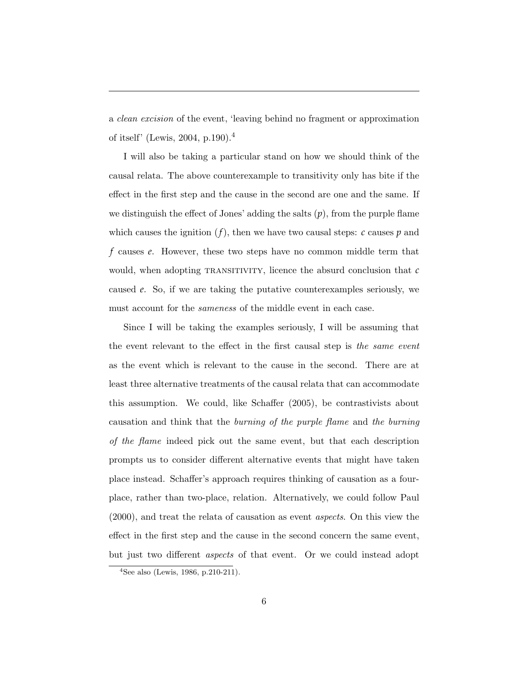a *clean excision* of the event, 'leaving behind no fragment or approximation of itself' (Lewis, 2004, p.190).<sup>4</sup>

I will also be taking a particular stand on how we should think of the causal relata. The above counterexample to transitivity only has bite if the effect in the first step and the cause in the second are one and the same. If we distinguish the effect of Jones' adding the salts  $(p)$ , from the purple flame which causes the ignition  $(f)$ , then we have two causal steps:  $c$  causes  $p$  and *f* causes *e*. However, these two steps have no common middle term that would, when adopting TRANSITIVITY, licence the absurd conclusion that  $c$ caused *e*. So, if we are taking the putative counterexamples seriously, we must account for the *sameness* of the middle event in each case.

Since I will be taking the examples seriously, I will be assuming that the event relevant to the effect in the first causal step is *the same event* as the event which is relevant to the cause in the second. There are at least three alternative treatments of the causal relata that can accommodate this assumption. We could, like Schaffer  $(2005)$ , be contrastivists about causation and think that the *burning of the purple flame* and *the burning of the flame* indeed pick out the same event, but that each description prompts us to consider different alternative events that might have taken place instead. Schaffer's approach requires thinking of causation as a fourplace, rather than two-place, relation. Alternatively, we could follow Paul (2000), and treat the relata of causation as event *aspects*. On this view the effect in the first step and the cause in the second concern the same event, but just two different *aspects* of that event. Or we could instead adopt

<sup>4</sup>See also (Lewis, 1986, p.210-211).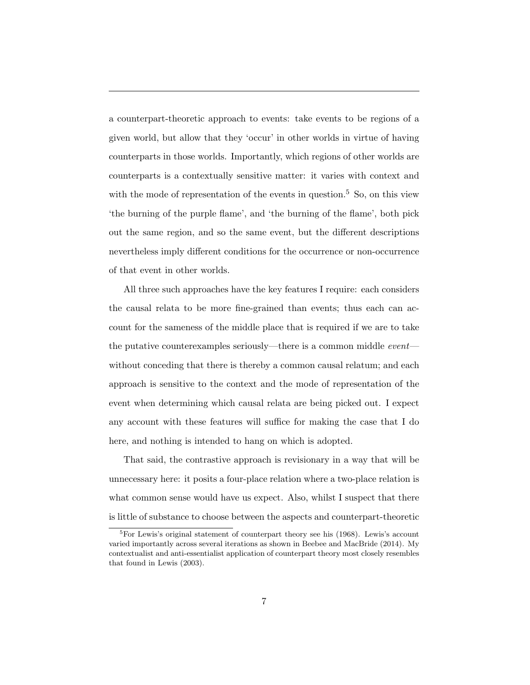a counterpart-theoretic approach to events: take events to be regions of a given world, but allow that they 'occur' in other worlds in virtue of having counterparts in those worlds. Importantly, which regions of other worlds are counterparts is a contextually sensitive matter: it varies with context and with the mode of representation of the events in question.<sup>5</sup> So, on this view 'the burning of the purple flame', and 'the burning of the flame', both pick out the same region, and so the same event, but the different descriptions nevertheless imply different conditions for the occurrence or non-occurrence of that event in other worlds.

All three such approaches have the key features I require: each considers the causal relata to be more fine-grained than events; thus each can account for the sameness of the middle place that is required if we are to take the putative counterexamples seriously—there is a common middle *event* without conceding that there is thereby a common causal relatum; and each approach is sensitive to the context and the mode of representation of the event when determining which causal relata are being picked out. I expect any account with these features will suffice for making the case that I do here, and nothing is intended to hang on which is adopted.

That said, the contrastive approach is revisionary in a way that will be unnecessary here: it posits a four-place relation where a two-place relation is what common sense would have us expect. Also, whilst I suspect that there is little of substance to choose between the aspects and counterpart-theoretic

<sup>5</sup>For Lewis's original statement of counterpart theory see his (1968). Lewis's account varied importantly across several iterations as shown in Beebee and MacBride (2014). My contextualist and anti-essentialist application of counterpart theory most closely resembles that found in Lewis (2003).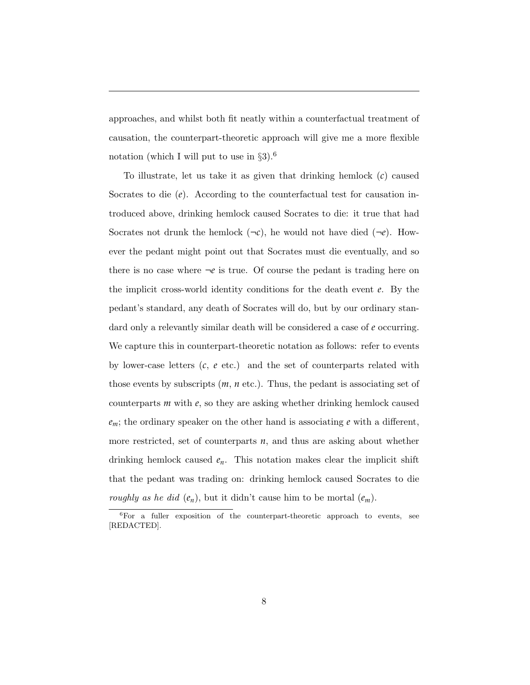approaches, and whilst both fit neatly within a counterfactual treatment of causation, the counterpart-theoretic approach will give me a more flexible notation (which I will put to use in *§*3).<sup>6</sup>

To illustrate, let us take it as given that drinking hemlock (*c*) caused Socrates to die (*e*). According to the counterfactual test for causation introduced above, drinking hemlock caused Socrates to die: it true that had Socrates not drunk the hemlock  $(\neg c)$ , he would not have died  $(\neg e)$ . However the pedant might point out that Socrates must die eventually, and so there is no case where  $\neg e$  is true. Of course the pedant is trading here on the implicit cross-world identity conditions for the death event *e*. By the pedant's standard, any death of Socrates will do, but by our ordinary standard only a relevantly similar death will be considered a case of *e* occurring. We capture this in counterpart-theoretic notation as follows: refer to events by lower-case letters (*c*, *e* etc.) and the set of counterparts related with those events by subscripts (*m*, *n* etc.). Thus, the pedant is associating set of counterparts *m* with *e*, so they are asking whether drinking hemlock caused  $e_m$ ; the ordinary speaker on the other hand is associating  $e$  with a different, more restricted, set of counterparts  $n$ , and thus are asking about whether drinking hemlock caused  $e_n$ . This notation makes clear the implicit shift that the pedant was trading on: drinking hemlock caused Socrates to die *roughly as he did*  $(e_n)$ , but it didn't cause him to be mortal  $(e_m)$ .

 ${}^{6}$ For a fuller exposition of the counterpart-theoretic approach to events, see [REDACTED].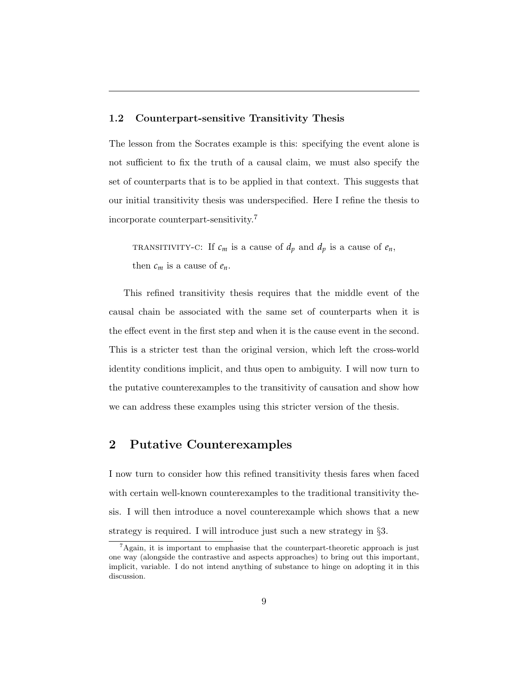### 1.2 Counterpart-sensitive Transitivity Thesis

The lesson from the Socrates example is this: specifying the event alone is not sufficient to fix the truth of a causal claim, we must also specify the set of counterparts that is to be applied in that context. This suggests that our initial transitivity thesis was underspecified. Here I refine the thesis to incorporate counterpart-sensitivity.<sup>7</sup>

TRANSITIVITY-C: If  $c_m$  is a cause of  $d_p$  and  $d_p$  is a cause of  $e_n$ , then  $c_m$  is a cause of  $e_n$ .

This refined transitivity thesis requires that the middle event of the causal chain be associated with the same set of counterparts when it is the effect event in the first step and when it is the cause event in the second. This is a stricter test than the original version, which left the cross-world identity conditions implicit, and thus open to ambiguity. I will now turn to the putative counterexamples to the transitivity of causation and show how we can address these examples using this stricter version of the thesis.

### 2 Putative Counterexamples

I now turn to consider how this refined transitivity thesis fares when faced with certain well-known counterexamples to the traditional transitivity thesis. I will then introduce a novel counterexample which shows that a new strategy is required. I will introduce just such a new strategy in *§*3.

<sup>7</sup>Again, it is important to emphasise that the counterpart-theoretic approach is just one way (alongside the contrastive and aspects approaches) to bring out this important, implicit, variable. I do not intend anything of substance to hinge on adopting it in this discussion.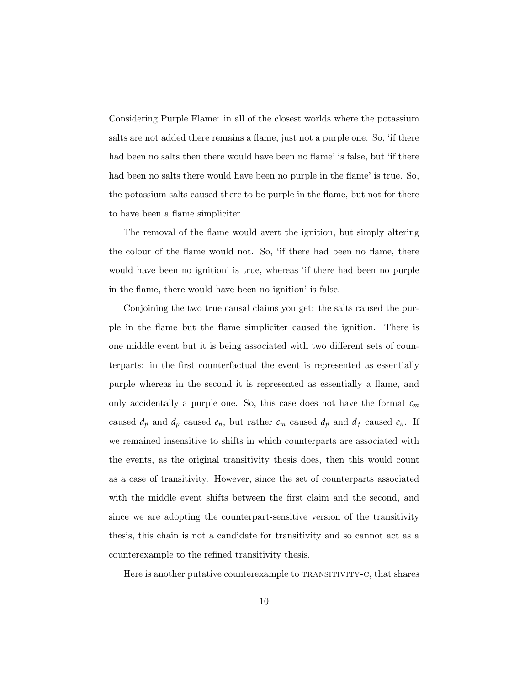Considering Purple Flame: in all of the closest worlds where the potassium salts are not added there remains a flame, just not a purple one. So, 'if there had been no salts then there would have been no flame' is false, but 'if there had been no salts there would have been no purple in the flame' is true. So, the potassium salts caused there to be purple in the flame, but not for there to have been a flame simpliciter.

The removal of the flame would avert the ignition, but simply altering the colour of the flame would not. So, 'if there had been no flame, there would have been no ignition' is true, whereas 'if there had been no purple in the flame, there would have been no ignition' is false.

Conjoining the two true causal claims you get: the salts caused the purple in the flame but the flame simpliciter caused the ignition. There is one middle event but it is being associated with two different sets of counterparts: in the first counterfactual the event is represented as essentially purple whereas in the second it is represented as essentially a flame, and only accidentally a purple one. So, this case does not have the format  $c_m$ caused  $d_p$  and  $d_p$  caused  $e_n$ , but rather  $c_m$  caused  $d_p$  and  $d_f$  caused  $e_n$ . If we remained insensitive to shifts in which counterparts are associated with the events, as the original transitivity thesis does, then this would count as a case of transitivity. However, since the set of counterparts associated with the middle event shifts between the first claim and the second, and since we are adopting the counterpart-sensitive version of the transitivity thesis, this chain is not a candidate for transitivity and so cannot act as a counterexample to the refined transitivity thesis.

Here is another putative counterexample to TRANSITIVITY-C, that shares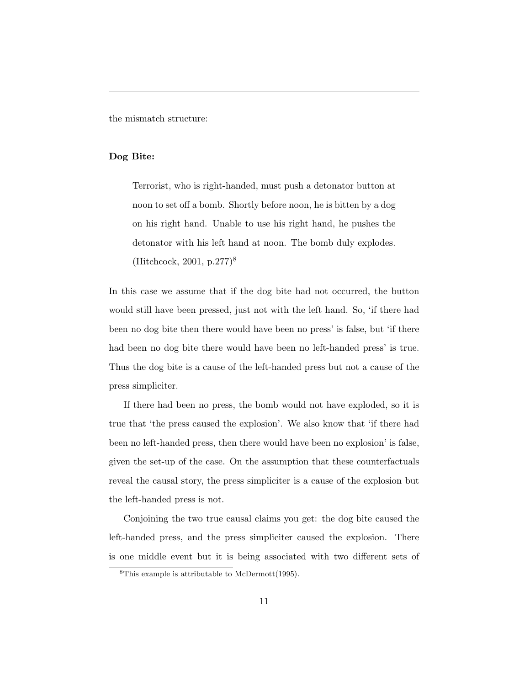the mismatch structure:

### Dog Bite:

Terrorist, who is right-handed, must push a detonator button at noon to set off a bomb. Shortly before noon, he is bitten by a dog on his right hand. Unable to use his right hand, he pushes the detonator with his left hand at noon. The bomb duly explodes. (Hitchcock, 2001, p.277)<sup>8</sup>

In this case we assume that if the dog bite had not occurred, the button would still have been pressed, just not with the left hand. So, 'if there had been no dog bite then there would have been no press' is false, but 'if there had been no dog bite there would have been no left-handed press' is true. Thus the dog bite is a cause of the left-handed press but not a cause of the press simpliciter.

If there had been no press, the bomb would not have exploded, so it is true that 'the press caused the explosion'. We also know that 'if there had been no left-handed press, then there would have been no explosion' is false, given the set-up of the case. On the assumption that these counterfactuals reveal the causal story, the press simpliciter is a cause of the explosion but the left-handed press is not.

Conjoining the two true causal claims you get: the dog bite caused the left-handed press, and the press simpliciter caused the explosion. There is one middle event but it is being associated with two different sets of

<sup>8</sup>This example is attributable to McDermott(1995).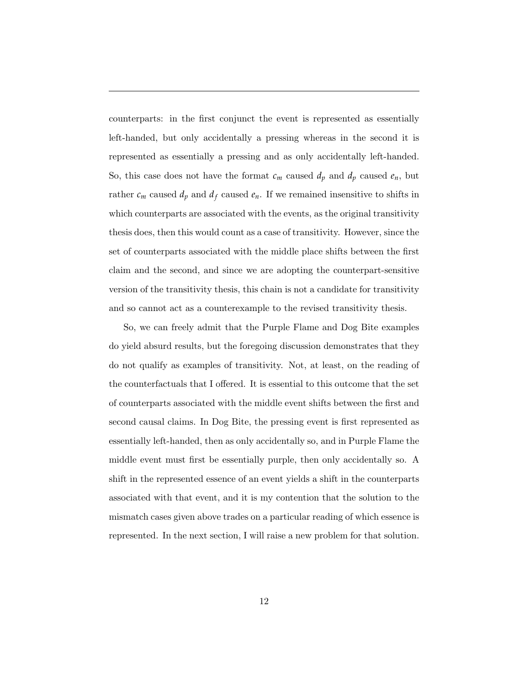counterparts: in the first conjunct the event is represented as essentially left-handed, but only accidentally a pressing whereas in the second it is represented as essentially a pressing and as only accidentally left-handed. So, this case does not have the format  $c_m$  caused  $d_p$  and  $d_p$  caused  $e_n$ , but rather  $c_m$  caused  $d_p$  and  $d_f$  caused  $e_n$ . If we remained insensitive to shifts in which counterparts are associated with the events, as the original transitivity thesis does, then this would count as a case of transitivity. However, since the set of counterparts associated with the middle place shifts between the first claim and the second, and since we are adopting the counterpart-sensitive version of the transitivity thesis, this chain is not a candidate for transitivity and so cannot act as a counterexample to the revised transitivity thesis.

So, we can freely admit that the Purple Flame and Dog Bite examples do yield absurd results, but the foregoing discussion demonstrates that they do not qualify as examples of transitivity. Not, at least, on the reading of the counterfactuals that I offered. It is essential to this outcome that the set of counterparts associated with the middle event shifts between the first and second causal claims. In Dog Bite, the pressing event is first represented as essentially left-handed, then as only accidentally so, and in Purple Flame the middle event must first be essentially purple, then only accidentally so. A shift in the represented essence of an event yields a shift in the counterparts associated with that event, and it is my contention that the solution to the mismatch cases given above trades on a particular reading of which essence is represented. In the next section, I will raise a new problem for that solution.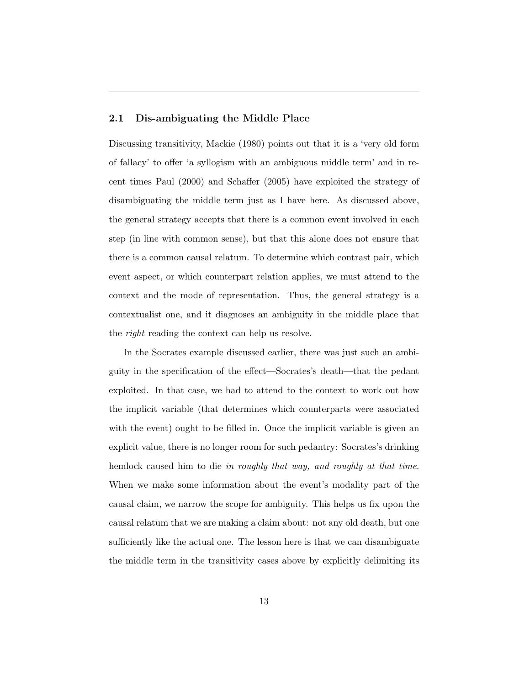### 2.1 Dis-ambiguating the Middle Place

Discussing transitivity, Mackie (1980) points out that it is a 'very old form of fallacy' to o↵er 'a syllogism with an ambiguous middle term' and in recent times Paul  $(2000)$  and Schaffer  $(2005)$  have exploited the strategy of disambiguating the middle term just as I have here. As discussed above, the general strategy accepts that there is a common event involved in each step (in line with common sense), but that this alone does not ensure that there is a common causal relatum. To determine which contrast pair, which event aspect, or which counterpart relation applies, we must attend to the context and the mode of representation. Thus, the general strategy is a contextualist one, and it diagnoses an ambiguity in the middle place that the *right* reading the context can help us resolve.

In the Socrates example discussed earlier, there was just such an ambiguity in the specification of the effect—Socrates's death—that the pedant exploited. In that case, we had to attend to the context to work out how the implicit variable (that determines which counterparts were associated with the event) ought to be filled in. Once the implicit variable is given an explicit value, there is no longer room for such pedantry: Socrates's drinking hemlock caused him to die *in roughly that way, and roughly at that time*. When we make some information about the event's modality part of the causal claim, we narrow the scope for ambiguity. This helps us fix upon the causal relatum that we are making a claim about: not any old death, but one sufficiently like the actual one. The lesson here is that we can disambiguate the middle term in the transitivity cases above by explicitly delimiting its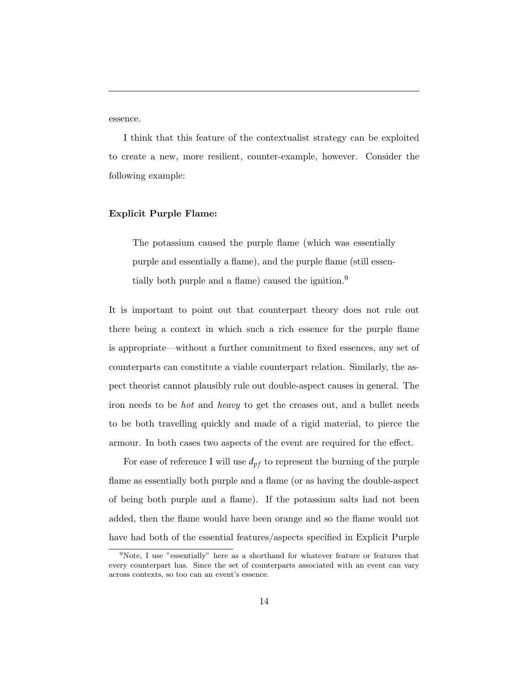essence.

I think that this feature of the contextualist strategy can be exploited to create a new, more resilient, counter-example, however. Consider the following example:

### Explicit Purple Flame:

The potassium caused the purple flame (which was essentially purple and essentially a flame), and the purple flame (still essentially both purple and a flame) caused the ignition.<sup>9</sup>

It is important to point out that counterpart theory does not rule out there being a context in which such a rich essence for the purple flame is appropriate—without a further commitment to fixed essences, any set of counterparts can constitute a viable counterpart relation. Similarly, the aspect theorist cannot plausibly rule out double-aspect causes in general. The iron needs to be *hot* and *heavy* to get the creases out, and a bullet needs to be both travelling quickly and made of a rigid material, to pierce the armour. In both cases two aspects of the event are required for the effect.

For ease of reference I will use  $d_{pf}$  to represent the burning of the purple flame as essentially both purple and a flame (or as having the double-aspect of being both purple and a flame). If the potassium salts had not been added, then the flame would have been orange and so the flame would not have had both of the essential features/aspects specified in Explicit Purple

<sup>9</sup>Note, I use "essentially" here as a shorthand for whatever feature or features that every counterpart has. Since the set of counterparts associated with an event can vary across contexts, so too can an event's essence.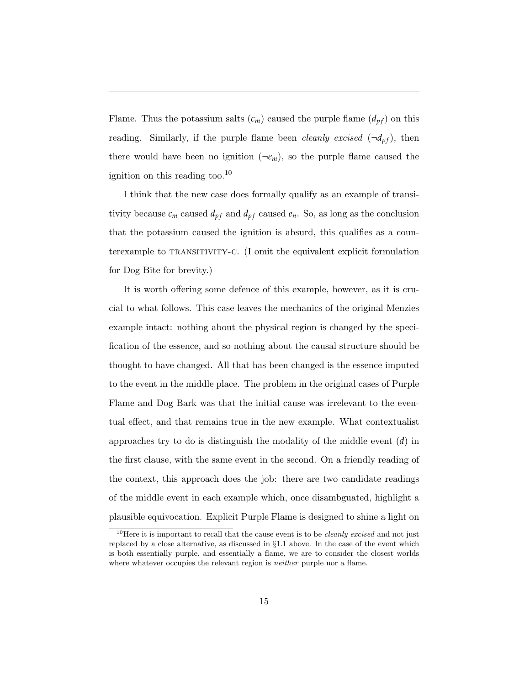Flame. Thus the potassium salts  $(c_m)$  caused the purple flame  $(d_{pf})$  on this reading. Similarly, if the purple flame been *cleanly excised*  $(\neg d_{pf})$ , then there would have been no ignition  $(\neg e_m)$ , so the purple flame caused the ignition on this reading too.<sup>10</sup>

I think that the new case does formally qualify as an example of transitivity because  $c_m$  caused  $d_{pf}$  and  $d_{pf}$  caused  $e_n$ . So, as long as the conclusion that the potassium caused the ignition is absurd, this qualifies as a counterexample to TRANSITIVITY-C. (I omit the equivalent explicit formulation for Dog Bite for brevity.)

It is worth offering some defence of this example, however, as it is crucial to what follows. This case leaves the mechanics of the original Menzies example intact: nothing about the physical region is changed by the specification of the essence, and so nothing about the causal structure should be thought to have changed. All that has been changed is the essence imputed to the event in the middle place. The problem in the original cases of Purple Flame and Dog Bark was that the initial cause was irrelevant to the eventual effect, and that remains true in the new example. What contextualist approaches try to do is distinguish the modality of the middle event (*d*) in the first clause, with the same event in the second. On a friendly reading of the context, this approach does the job: there are two candidate readings of the middle event in each example which, once disambguated, highlight a plausible equivocation. Explicit Purple Flame is designed to shine a light on

<sup>10</sup>Here it is important to recall that the cause event is to be *cleanly excised* and not just replaced by a close alternative, as discussed in *§*1.1 above. In the case of the event which is both essentially purple, and essentially a flame, we are to consider the closest worlds where whatever occupies the relevant region is *neither* purple nor a flame.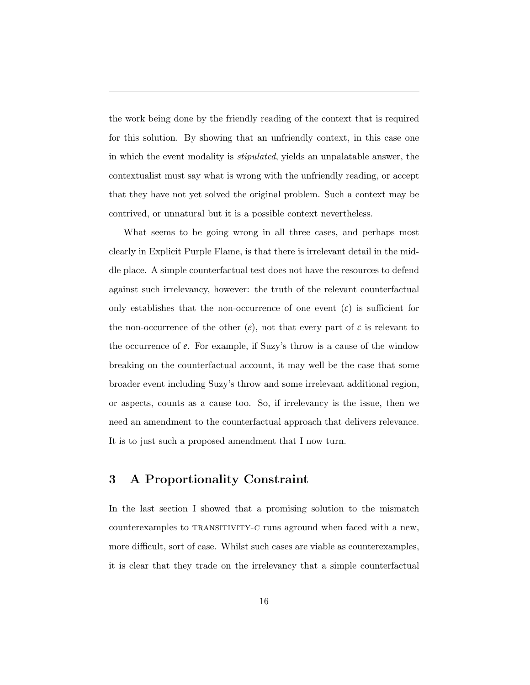the work being done by the friendly reading of the context that is required for this solution. By showing that an unfriendly context, in this case one in which the event modality is *stipulated*, yields an unpalatable answer, the contextualist must say what is wrong with the unfriendly reading, or accept that they have not yet solved the original problem. Such a context may be contrived, or unnatural but it is a possible context nevertheless.

What seems to be going wrong in all three cases, and perhaps most clearly in Explicit Purple Flame, is that there is irrelevant detail in the middle place. A simple counterfactual test does not have the resources to defend against such irrelevancy, however: the truth of the relevant counterfactual only establishes that the non-occurrence of one event  $(c)$  is sufficient for the non-occurrence of the other  $(e)$ , not that every part of  $c$  is relevant to the occurrence of *e*. For example, if Suzy's throw is a cause of the window breaking on the counterfactual account, it may well be the case that some broader event including Suzy's throw and some irrelevant additional region, or aspects, counts as a cause too. So, if irrelevancy is the issue, then we need an amendment to the counterfactual approach that delivers relevance. It is to just such a proposed amendment that I now turn.

### 3 A Proportionality Constraint

In the last section I showed that a promising solution to the mismatch counterexamples to TRANSITIVITY-C runs aground when faced with a new, more difficult, sort of case. Whilst such cases are viable as counterexamples, it is clear that they trade on the irrelevancy that a simple counterfactual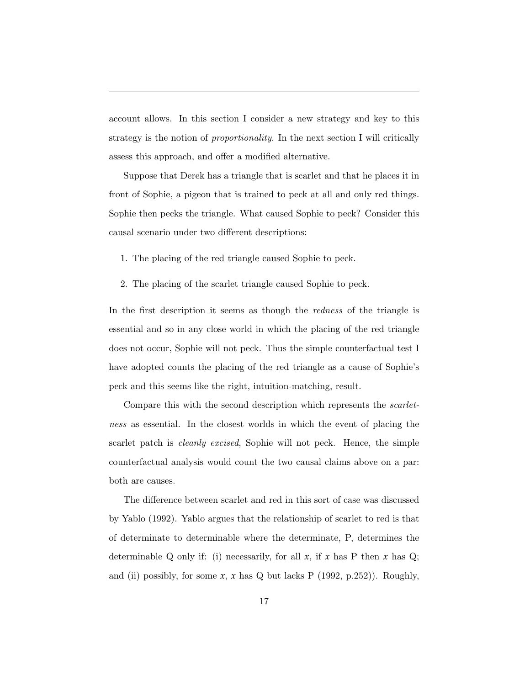account allows. In this section I consider a new strategy and key to this strategy is the notion of *proportionality*. In the next section I will critically assess this approach, and offer a modified alternative.

Suppose that Derek has a triangle that is scarlet and that he places it in front of Sophie, a pigeon that is trained to peck at all and only red things. Sophie then pecks the triangle. What caused Sophie to peck? Consider this causal scenario under two different descriptions:

- 1. The placing of the red triangle caused Sophie to peck.
- 2. The placing of the scarlet triangle caused Sophie to peck.

In the first description it seems as though the *redness* of the triangle is essential and so in any close world in which the placing of the red triangle does not occur, Sophie will not peck. Thus the simple counterfactual test I have adopted counts the placing of the red triangle as a cause of Sophie's peck and this seems like the right, intuition-matching, result.

Compare this with the second description which represents the *scarletness* as essential. In the closest worlds in which the event of placing the scarlet patch is *cleanly excised*, Sophie will not peck. Hence, the simple counterfactual analysis would count the two causal claims above on a par: both are causes.

The difference between scarlet and red in this sort of case was discussed by Yablo (1992). Yablo argues that the relationship of scarlet to red is that of determinate to determinable where the determinate, P, determines the determinable Q only if: (i) necessarily, for all  $x$ , if  $x$  has P then  $x$  has Q; and (ii) possibly, for some  $x$ ,  $x$  has  $Q$  but lacks  $P$  (1992, p.252)). Roughly,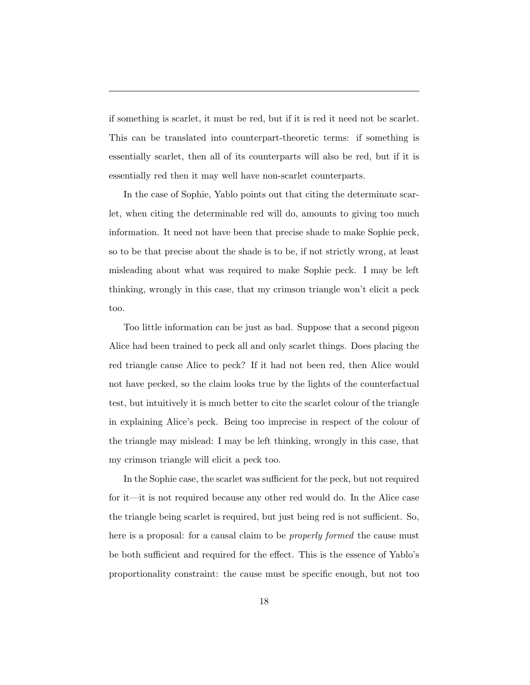if something is scarlet, it must be red, but if it is red it need not be scarlet. This can be translated into counterpart-theoretic terms: if something is essentially scarlet, then all of its counterparts will also be red, but if it is essentially red then it may well have non-scarlet counterparts.

In the case of Sophie, Yablo points out that citing the determinate scarlet, when citing the determinable red will do, amounts to giving too much information. It need not have been that precise shade to make Sophie peck, so to be that precise about the shade is to be, if not strictly wrong, at least misleading about what was required to make Sophie peck. I may be left thinking, wrongly in this case, that my crimson triangle won't elicit a peck too.

Too little information can be just as bad. Suppose that a second pigeon Alice had been trained to peck all and only scarlet things. Does placing the red triangle cause Alice to peck? If it had not been red, then Alice would not have pecked, so the claim looks true by the lights of the counterfactual test, but intuitively it is much better to cite the scarlet colour of the triangle in explaining Alice's peck. Being too imprecise in respect of the colour of the triangle may mislead: I may be left thinking, wrongly in this case, that my crimson triangle will elicit a peck too.

In the Sophie case, the scarlet was sufficient for the peck, but not required for it—it is not required because any other red would do. In the Alice case the triangle being scarlet is required, but just being red is not sufficient. So, here is a proposal: for a causal claim to be *properly formed* the cause must be both sufficient and required for the effect. This is the essence of Yablo's proportionality constraint: the cause must be specific enough, but not too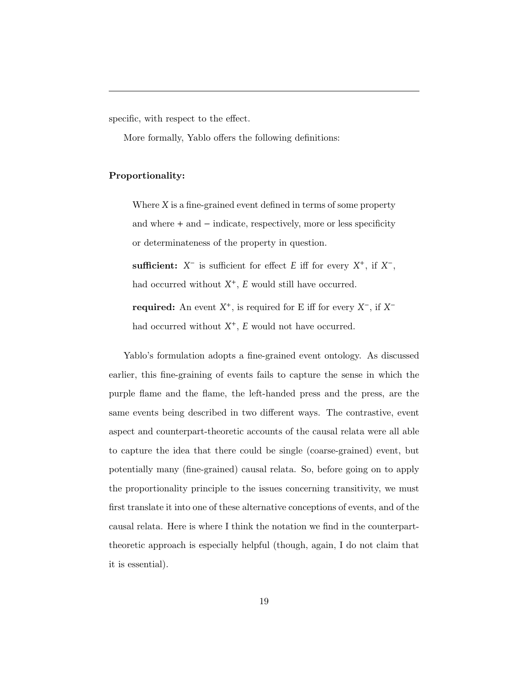specific, with respect to the effect.

More formally, Yablo offers the following definitions:

### Proportionality:

Where *X* is a fine-grained event defined in terms of some property and where  $+$  and  $-$  indicate, respectively, more or less specificity or determinateness of the property in question.

sufficient:  $X^-$  is sufficient for effect *E* iff for every  $X^+$ , if  $X^-$ , had occurred without  $X^+$ ,  $E$  would still have occurred.

required: An event  $X^+$ , is required for E iff for every  $X^-$ , if  $X^$ had occurred without  $X^+$ ,  $E$  would not have occurred.

Yablo's formulation adopts a fine-grained event ontology. As discussed earlier, this fine-graining of events fails to capture the sense in which the purple flame and the flame, the left-handed press and the press, are the same events being described in two different ways. The contrastive, event aspect and counterpart-theoretic accounts of the causal relata were all able to capture the idea that there could be single (coarse-grained) event, but potentially many (fine-grained) causal relata. So, before going on to apply the proportionality principle to the issues concerning transitivity, we must first translate it into one of these alternative conceptions of events, and of the causal relata. Here is where I think the notation we find in the counterparttheoretic approach is especially helpful (though, again, I do not claim that it is essential).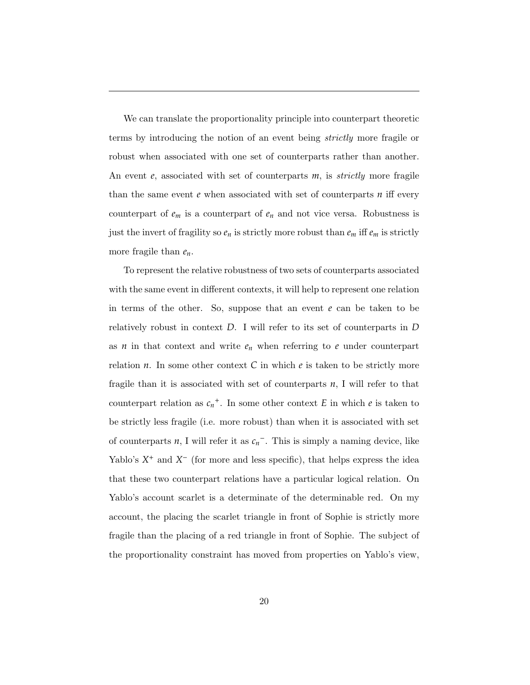We can translate the proportionality principle into counterpart theoretic terms by introducing the notion of an event being *strictly* more fragile or robust when associated with one set of counterparts rather than another. An event *e*, associated with set of counterparts *m*, is *strictly* more fragile than the same event  $e$  when associated with set of counterparts  $n$  iff every counterpart of  $e_m$  is a counterpart of  $e_n$  and not vice versa. Robustness is just the invert of fragility so  $e_n$  is strictly more robust than  $e_m$  iff  $e_m$  is strictly more fragile than *en*.

To represent the relative robustness of two sets of counterparts associated with the same event in different contexts, it will help to represent one relation in terms of the other. So, suppose that an event  $e$  can be taken to be relatively robust in context *D*. I will refer to its set of counterparts in *D* as  $n$  in that context and write  $e_n$  when referring to  $e$  under counterpart relation  $n$ . In some other context  $C$  in which  $e$  is taken to be strictly more fragile than it is associated with set of counterparts *n*, I will refer to that counterpart relation as  $c_n^+$ . In some other context *E* in which *e* is taken to be strictly less fragile (i.e. more robust) than when it is associated with set of counterparts  $n$ , I will refer it as  $c_n$ <sup>-</sup>. This is simply a naming device, like Yablo's  $X^+$  and  $X^-$  (for more and less specific), that helps express the idea that these two counterpart relations have a particular logical relation. On Yablo's account scarlet is a determinate of the determinable red. On my account, the placing the scarlet triangle in front of Sophie is strictly more fragile than the placing of a red triangle in front of Sophie. The subject of the proportionality constraint has moved from properties on Yablo's view,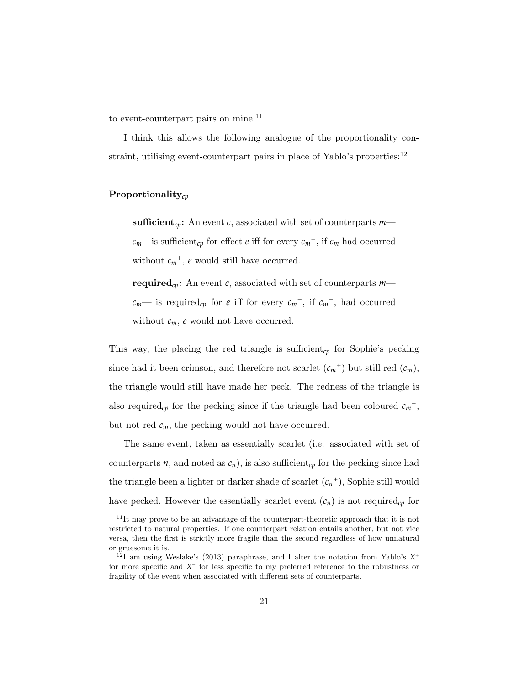to event-counterpart pairs on mine.<sup>11</sup>

I think this allows the following analogue of the proportionality constraint, utilising event-counterpart pairs in place of Yablo's properties:<sup>12</sup>

### Proportionality*cp*

sufficient<sub>cp</sub>: An event c, associated with set of counterparts  $m$  $c_m$ —is sufficient<sub>cp</sub> for effect *e* iff for every  $c_m$ <sup>+</sup>, if  $c_m$  had occurred without  $c_m^+$ ,  $e$  would still have occurred.

required*cp*: An event *c*, associated with set of counterparts *m*  $c_m$ — is required<sub>cp</sub> for *e* iff for every  $c_m$ <sup>-</sup>, if  $c_m$ <sup>-</sup>, had occurred without  $c_m$ ,  $e$  would not have occurred.

This way, the placing the red triangle is sufficient<sub>cp</sub> for Sophie's pecking since had it been crimson, and therefore not scarlet  $(c_m^+)$  but still red  $(c_m)$ , the triangle would still have made her peck. The redness of the triangle is also required<sub>cp</sub> for the pecking since if the triangle had been coloured  $c_m$ <sup>-</sup>, but not red  $c_m$ , the pecking would not have occurred.

The same event, taken as essentially scarlet (i.e. associated with set of counterparts *n*, and noted as  $c_n$ ), is also sufficient<sub>cp</sub> for the pecking since had the triangle been a lighter or darker shade of scarlet  $(c_n^+)$ , Sophie still would have pecked. However the essentially scarlet event  $(c_n)$  is not required<sub>cp</sub> for

<sup>&</sup>lt;sup>11</sup>It may prove to be an advantage of the counterpart-theoretic approach that it is not restricted to natural properties. If one counterpart relation entails another, but not vice versa, then the first is strictly more fragile than the second regardless of how unnatural or gruesome it is.

<sup>12</sup>I am using Weslake's (2013) paraphrase, and I alter the notation from Yablo's *X*<sup>+</sup> for more specific and  $X^-$  for less specific to my preferred reference to the robustness or fragility of the event when associated with different sets of counterparts.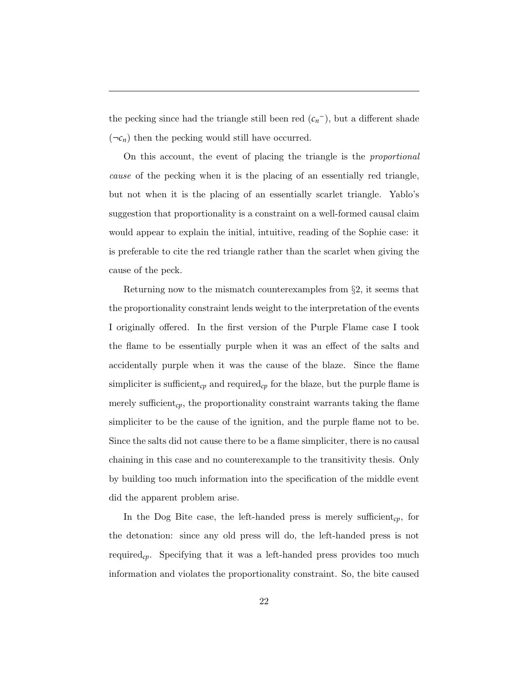the pecking since had the triangle still been red  $(c_n^-)$ , but a different shade  $(\neg c_n)$  then the pecking would still have occurred.

On this account, the event of placing the triangle is the *proportional cause* of the pecking when it is the placing of an essentially red triangle, but not when it is the placing of an essentially scarlet triangle. Yablo's suggestion that proportionality is a constraint on a well-formed causal claim would appear to explain the initial, intuitive, reading of the Sophie case: it is preferable to cite the red triangle rather than the scarlet when giving the cause of the peck.

Returning now to the mismatch counterexamples from *§*2, it seems that the proportionality constraint lends weight to the interpretation of the events I originally offered. In the first version of the Purple Flame case I took the flame to be essentially purple when it was an effect of the salts and accidentally purple when it was the cause of the blaze. Since the flame simpliciter is sufficient<sub>cp</sub> and required<sub>cp</sub> for the blaze, but the purple flame is merely sufficient<sub>cp</sub>, the proportionality constraint warrants taking the flame simpliciter to be the cause of the ignition, and the purple flame not to be. Since the salts did not cause there to be a flame simpliciter, there is no causal chaining in this case and no counterexample to the transitivity thesis. Only by building too much information into the specification of the middle event did the apparent problem arise.

In the Dog Bite case, the left-handed press is merely sufficient<sub>cp</sub>, for the detonation: since any old press will do, the left-handed press is not required<sub>cp</sub>. Specifying that it was a left-handed press provides too much information and violates the proportionality constraint. So, the bite caused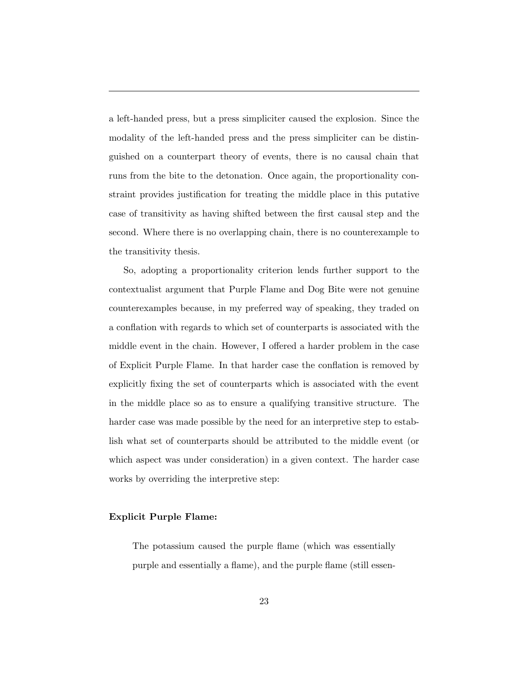a left-handed press, but a press simpliciter caused the explosion. Since the modality of the left-handed press and the press simpliciter can be distinguished on a counterpart theory of events, there is no causal chain that runs from the bite to the detonation. Once again, the proportionality constraint provides justification for treating the middle place in this putative case of transitivity as having shifted between the first causal step and the second. Where there is no overlapping chain, there is no counterexample to the transitivity thesis.

So, adopting a proportionality criterion lends further support to the contextualist argument that Purple Flame and Dog Bite were not genuine counterexamples because, in my preferred way of speaking, they traded on a conflation with regards to which set of counterparts is associated with the middle event in the chain. However, I offered a harder problem in the case of Explicit Purple Flame. In that harder case the conflation is removed by explicitly fixing the set of counterparts which is associated with the event in the middle place so as to ensure a qualifying transitive structure. The harder case was made possible by the need for an interpretive step to establish what set of counterparts should be attributed to the middle event (or which aspect was under consideration) in a given context. The harder case works by overriding the interpretive step:

#### Explicit Purple Flame:

The potassium caused the purple flame (which was essentially purple and essentially a flame), and the purple flame (still essen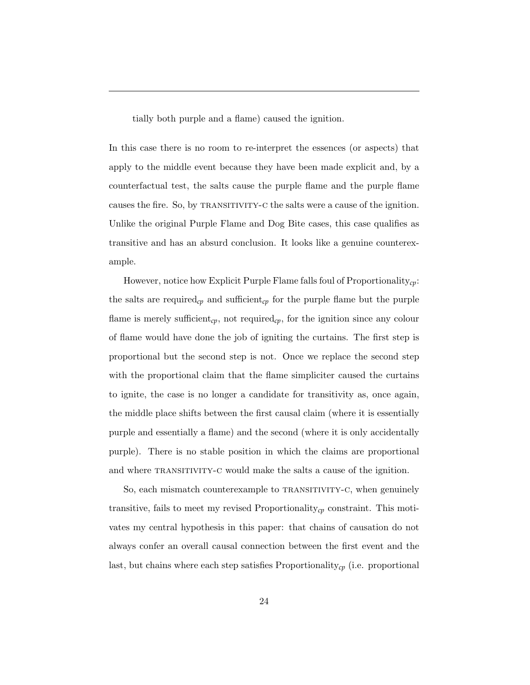tially both purple and a flame) caused the ignition.

In this case there is no room to re-interpret the essences (or aspects) that apply to the middle event because they have been made explicit and, by a counterfactual test, the salts cause the purple flame and the purple flame causes the fire. So, by transitivity-c the salts were a cause of the ignition. Unlike the original Purple Flame and Dog Bite cases, this case qualifies as transitive and has an absurd conclusion. It looks like a genuine counterexample.

However, notice how Explicit Purple Flame falls foul of Proportionality*cp*: the salts are required<sub>cp</sub> and sufficient<sub>cp</sub> for the purple flame but the purple flame is merely sufficient<sub>cp</sub>, not required<sub>cp</sub>, for the ignition since any colour of flame would have done the job of igniting the curtains. The first step is proportional but the second step is not. Once we replace the second step with the proportional claim that the flame simpliciter caused the curtains to ignite, the case is no longer a candidate for transitivity as, once again, the middle place shifts between the first causal claim (where it is essentially purple and essentially a flame) and the second (where it is only accidentally purple). There is no stable position in which the claims are proportional and where TRANSITIVITY-C would make the salts a cause of the ignition.

So, each mismatch counterexample to TRANSITIVITY-C, when genuinely transitive, fails to meet my revised Proportionality*cp* constraint. This motivates my central hypothesis in this paper: that chains of causation do not always confer an overall causal connection between the first event and the last, but chains where each step satisfies Proportionality*cp* (i.e. proportional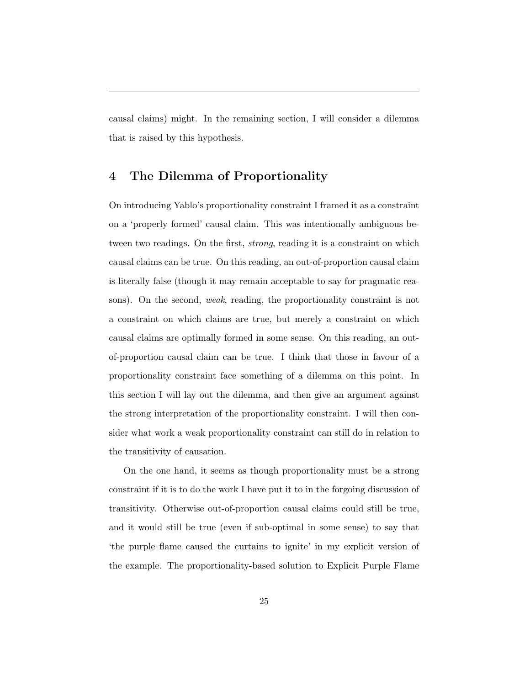causal claims) might. In the remaining section, I will consider a dilemma that is raised by this hypothesis.

# 4 The Dilemma of Proportionality

On introducing Yablo's proportionality constraint I framed it as a constraint on a 'properly formed' causal claim. This was intentionally ambiguous between two readings. On the first, *strong*, reading it is a constraint on which causal claims can be true. On this reading, an out-of-proportion causal claim is literally false (though it may remain acceptable to say for pragmatic reasons). On the second, *weak*, reading, the proportionality constraint is not a constraint on which claims are true, but merely a constraint on which causal claims are optimally formed in some sense. On this reading, an outof-proportion causal claim can be true. I think that those in favour of a proportionality constraint face something of a dilemma on this point. In this section I will lay out the dilemma, and then give an argument against the strong interpretation of the proportionality constraint. I will then consider what work a weak proportionality constraint can still do in relation to the transitivity of causation.

On the one hand, it seems as though proportionality must be a strong constraint if it is to do the work I have put it to in the forgoing discussion of transitivity. Otherwise out-of-proportion causal claims could still be true, and it would still be true (even if sub-optimal in some sense) to say that 'the purple flame caused the curtains to ignite' in my explicit version of the example. The proportionality-based solution to Explicit Purple Flame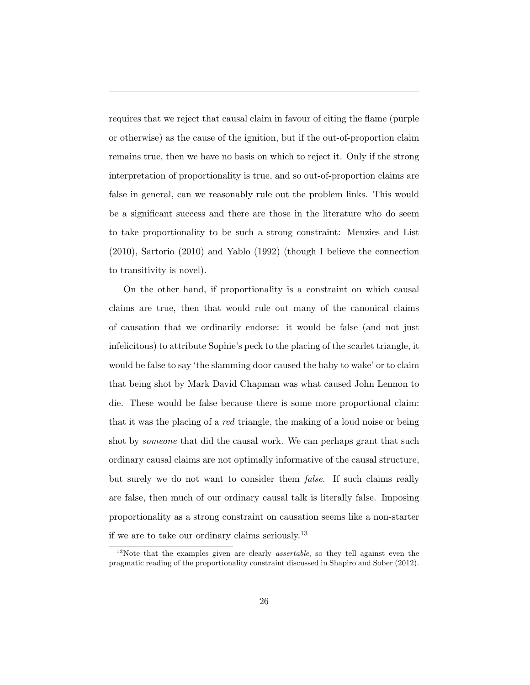requires that we reject that causal claim in favour of citing the flame (purple or otherwise) as the cause of the ignition, but if the out-of-proportion claim remains true, then we have no basis on which to reject it. Only if the strong interpretation of proportionality is true, and so out-of-proportion claims are false in general, can we reasonably rule out the problem links. This would be a significant success and there are those in the literature who do seem to take proportionality to be such a strong constraint: Menzies and List (2010), Sartorio (2010) and Yablo (1992) (though I believe the connection to transitivity is novel).

On the other hand, if proportionality is a constraint on which causal claims are true, then that would rule out many of the canonical claims of causation that we ordinarily endorse: it would be false (and not just infelicitous) to attribute Sophie's peck to the placing of the scarlet triangle, it would be false to say 'the slamming door caused the baby to wake' or to claim that being shot by Mark David Chapman was what caused John Lennon to die. These would be false because there is some more proportional claim: that it was the placing of a *red* triangle, the making of a loud noise or being shot by *someone* that did the causal work. We can perhaps grant that such ordinary causal claims are not optimally informative of the causal structure, but surely we do not want to consider them *false*. If such claims really are false, then much of our ordinary causal talk is literally false. Imposing proportionality as a strong constraint on causation seems like a non-starter if we are to take our ordinary claims seriously.<sup>13</sup>

<sup>13</sup>Note that the examples given are clearly *assertable*, so they tell against even the pragmatic reading of the proportionality constraint discussed in Shapiro and Sober (2012).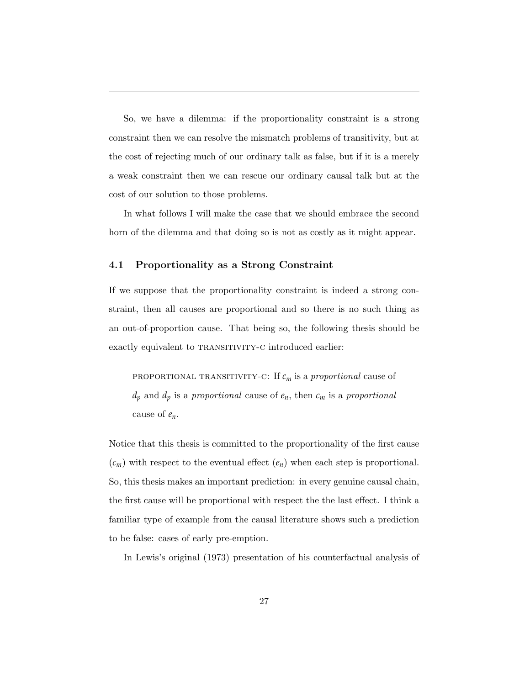So, we have a dilemma: if the proportionality constraint is a strong constraint then we can resolve the mismatch problems of transitivity, but at the cost of rejecting much of our ordinary talk as false, but if it is a merely a weak constraint then we can rescue our ordinary causal talk but at the cost of our solution to those problems.

In what follows I will make the case that we should embrace the second horn of the dilemma and that doing so is not as costly as it might appear.

### 4.1 Proportionality as a Strong Constraint

If we suppose that the proportionality constraint is indeed a strong constraint, then all causes are proportional and so there is no such thing as an out-of-proportion cause. That being so, the following thesis should be exactly equivalent to TRANSITIVITY-C introduced earlier:

proportional transitivity-c: If *cm* is a *proportional* cause of *dp* and *dp* is a *proportional* cause of *en*, then *cm* is a *proportional* cause of *en*.

Notice that this thesis is committed to the proportionality of the first cause  $(c_m)$  with respect to the eventual effect  $(e_n)$  when each step is proportional. So, this thesis makes an important prediction: in every genuine causal chain, the first cause will be proportional with respect the the last effect. I think a familiar type of example from the causal literature shows such a prediction to be false: cases of early pre-emption.

In Lewis's original (1973) presentation of his counterfactual analysis of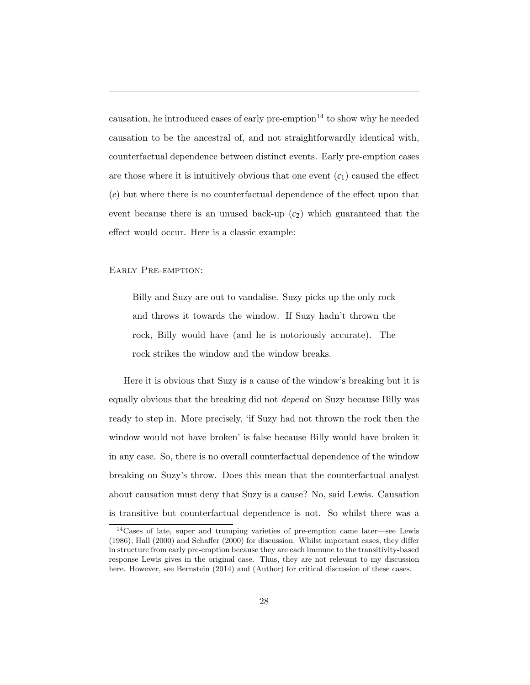causation, he introduced cases of early pre-emption $14$  to show why he needed causation to be the ancestral of, and not straightforwardly identical with, counterfactual dependence between distinct events. Early pre-emption cases are those where it is intuitively obvious that one event  $(c_1)$  caused the effect  $(e)$  but where there is no counterfactual dependence of the effect upon that event because there is an unused back-up  $(c_2)$  which guaranteed that the effect would occur. Here is a classic example:

### Early Pre-emption:

Billy and Suzy are out to vandalise. Suzy picks up the only rock and throws it towards the window. If Suzy hadn't thrown the rock, Billy would have (and he is notoriously accurate). The rock strikes the window and the window breaks.

Here it is obvious that Suzy is a cause of the window's breaking but it is equally obvious that the breaking did not *depend* on Suzy because Billy was ready to step in. More precisely, 'if Suzy had not thrown the rock then the window would not have broken' is false because Billy would have broken it in any case. So, there is no overall counterfactual dependence of the window breaking on Suzy's throw. Does this mean that the counterfactual analyst about causation must deny that Suzy is a cause? No, said Lewis. Causation is transitive but counterfactual dependence is not. So whilst there was a

<sup>14</sup>Cases of late, super and trumping varieties of pre-emption came later—see Lewis  $(1986)$ , Hall  $(2000)$  and Schaffer  $(2000)$  for discussion. Whilst important cases, they differ in structure from early pre-emption because they are each immune to the transitivity-based response Lewis gives in the original case. Thus, they are not relevant to my discussion here. However, see Bernstein (2014) and (Author) for critical discussion of these cases.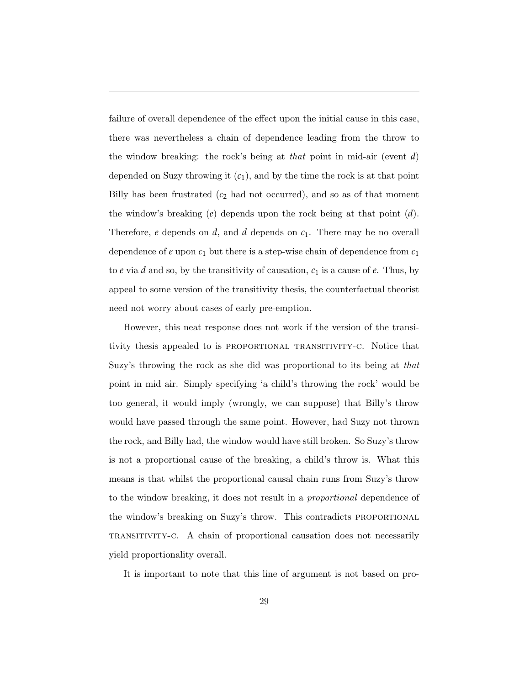failure of overall dependence of the effect upon the initial cause in this case, there was nevertheless a chain of dependence leading from the throw to the window breaking: the rock's being at *that* point in mid-air (event *d*) depended on Suzy throwing it (*c*1), and by the time the rock is at that point Billy has been frustrated  $(c_2 \text{ had not occurred})$ , and so as of that moment the window's breaking (*e*) depends upon the rock being at that point (*d*). Therefore, *e* depends on *d*, and *d* depends on *c*1. There may be no overall dependence of *e* upon *c*<sup>1</sup> but there is a step-wise chain of dependence from *c*<sup>1</sup> to  $e$  via  $d$  and so, by the transitivity of causation,  $c_1$  is a cause of  $e$ . Thus, by appeal to some version of the transitivity thesis, the counterfactual theorist need not worry about cases of early pre-emption.

However, this neat response does not work if the version of the transitivity thesis appealed to is proportional transitivity-c. Notice that Suzy's throwing the rock as she did was proportional to its being at *that* point in mid air. Simply specifying 'a child's throwing the rock' would be too general, it would imply (wrongly, we can suppose) that Billy's throw would have passed through the same point. However, had Suzy not thrown the rock, and Billy had, the window would have still broken. So Suzy's throw is not a proportional cause of the breaking, a child's throw is. What this means is that whilst the proportional causal chain runs from Suzy's throw to the window breaking, it does not result in a *proportional* dependence of the window's breaking on Suzy's throw. This contradicts proportional transitivity-c. A chain of proportional causation does not necessarily yield proportionality overall.

It is important to note that this line of argument is not based on pro-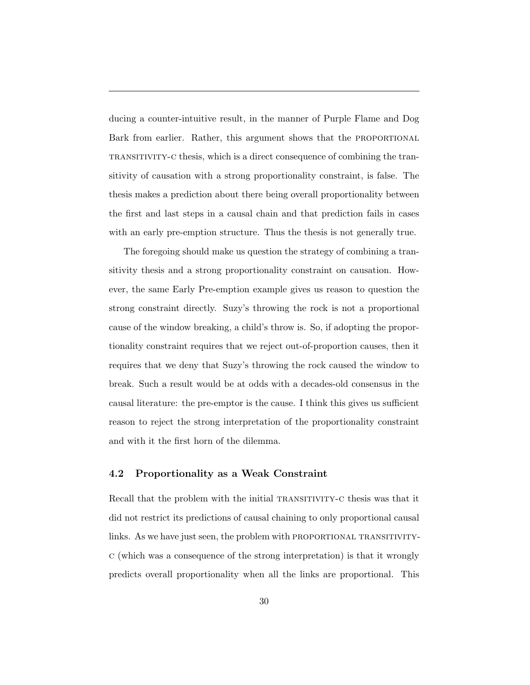ducing a counter-intuitive result, in the manner of Purple Flame and Dog Bark from earlier. Rather, this argument shows that the PROPORTIONAL transitivity-c thesis, which is a direct consequence of combining the transitivity of causation with a strong proportionality constraint, is false. The thesis makes a prediction about there being overall proportionality between the first and last steps in a causal chain and that prediction fails in cases with an early pre-emption structure. Thus the thesis is not generally true.

The foregoing should make us question the strategy of combining a transitivity thesis and a strong proportionality constraint on causation. However, the same Early Pre-emption example gives us reason to question the strong constraint directly. Suzy's throwing the rock is not a proportional cause of the window breaking, a child's throw is. So, if adopting the proportionality constraint requires that we reject out-of-proportion causes, then it requires that we deny that Suzy's throwing the rock caused the window to break. Such a result would be at odds with a decades-old consensus in the causal literature: the pre-emptor is the cause. I think this gives us sufficient reason to reject the strong interpretation of the proportionality constraint and with it the first horn of the dilemma.

### 4.2 Proportionality as a Weak Constraint

Recall that the problem with the initial TRANSITIVITY-C thesis was that it did not restrict its predictions of causal chaining to only proportional causal links. As we have just seen, the problem with PROPORTIONAL TRANSITIVITYc (which was a consequence of the strong interpretation) is that it wrongly predicts overall proportionality when all the links are proportional. This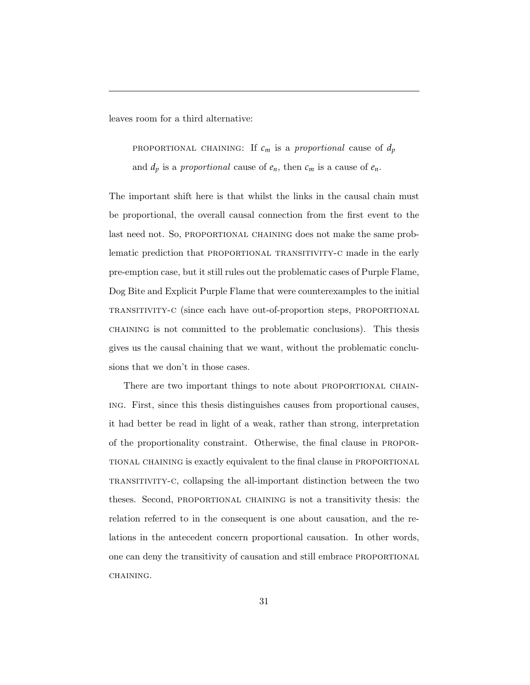leaves room for a third alternative:

**PROPORTIONAL** CHAINING: If  $c_m$  is a *proportional* cause of  $d_p$ and  $d_p$  is a *proportional* cause of  $e_n$ , then  $c_m$  is a cause of  $e_n$ .

The important shift here is that whilst the links in the causal chain must be proportional, the overall causal connection from the first event to the last need not. So, PROPORTIONAL CHAINING does not make the same problematic prediction that proportional transitivity-c made in the early pre-emption case, but it still rules out the problematic cases of Purple Flame, Dog Bite and Explicit Purple Flame that were counterexamples to the initial transitivity-c (since each have out-of-proportion steps, proportional chaining is not committed to the problematic conclusions). This thesis gives us the causal chaining that we want, without the problematic conclusions that we don't in those cases.

There are two important things to note about PROPORTIONAL CHAINing. First, since this thesis distinguishes causes from proportional causes, it had better be read in light of a weak, rather than strong, interpretation of the proportionality constraint. Otherwise, the final clause in proportional chaining is exactly equivalent to the final clause in proportional transitivity-c, collapsing the all-important distinction between the two theses. Second, proportional chaining is not a transitivity thesis: the relation referred to in the consequent is one about causation, and the relations in the antecedent concern proportional causation. In other words, one can deny the transitivity of causation and still embrace proportional CHAINING.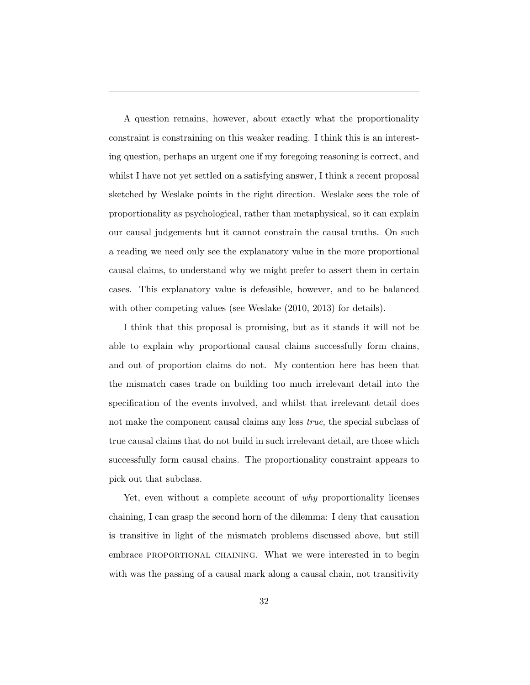A question remains, however, about exactly what the proportionality constraint is constraining on this weaker reading. I think this is an interesting question, perhaps an urgent one if my foregoing reasoning is correct, and whilst I have not yet settled on a satisfying answer, I think a recent proposal sketched by Weslake points in the right direction. Weslake sees the role of proportionality as psychological, rather than metaphysical, so it can explain our causal judgements but it cannot constrain the causal truths. On such a reading we need only see the explanatory value in the more proportional causal claims, to understand why we might prefer to assert them in certain cases. This explanatory value is defeasible, however, and to be balanced with other competing values (see Weslake  $(2010, 2013)$ ) for details).

I think that this proposal is promising, but as it stands it will not be able to explain why proportional causal claims successfully form chains, and out of proportion claims do not. My contention here has been that the mismatch cases trade on building too much irrelevant detail into the specification of the events involved, and whilst that irrelevant detail does not make the component causal claims any less *true*, the special subclass of true causal claims that do not build in such irrelevant detail, are those which successfully form causal chains. The proportionality constraint appears to pick out that subclass.

Yet, even without a complete account of *why* proportionality licenses chaining, I can grasp the second horn of the dilemma: I deny that causation is transitive in light of the mismatch problems discussed above, but still embrace PROPORTIONAL CHAINING. What we were interested in to begin with was the passing of a causal mark along a causal chain, not transitivity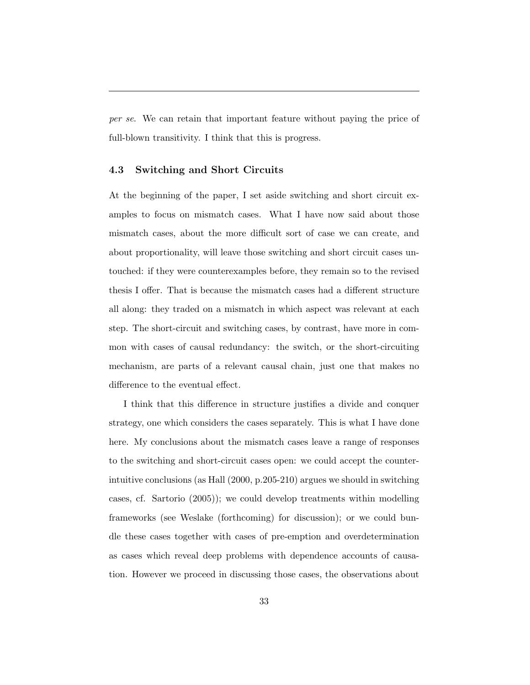*per se*. We can retain that important feature without paying the price of full-blown transitivity. I think that this is progress.

### 4.3 Switching and Short Circuits

At the beginning of the paper, I set aside switching and short circuit examples to focus on mismatch cases. What I have now said about those mismatch cases, about the more difficult sort of case we can create, and about proportionality, will leave those switching and short circuit cases untouched: if they were counterexamples before, they remain so to the revised thesis I offer. That is because the mismatch cases had a different structure all along: they traded on a mismatch in which aspect was relevant at each step. The short-circuit and switching cases, by contrast, have more in common with cases of causal redundancy: the switch, or the short-circuiting mechanism, are parts of a relevant causal chain, just one that makes no difference to the eventual effect.

I think that this difference in structure justifies a divide and conquer strategy, one which considers the cases separately. This is what I have done here. My conclusions about the mismatch cases leave a range of responses to the switching and short-circuit cases open: we could accept the counterintuitive conclusions (as Hall (2000, p.205-210) argues we should in switching cases, cf. Sartorio (2005)); we could develop treatments within modelling frameworks (see Weslake (forthcoming) for discussion); or we could bundle these cases together with cases of pre-emption and overdetermination as cases which reveal deep problems with dependence accounts of causation. However we proceed in discussing those cases, the observations about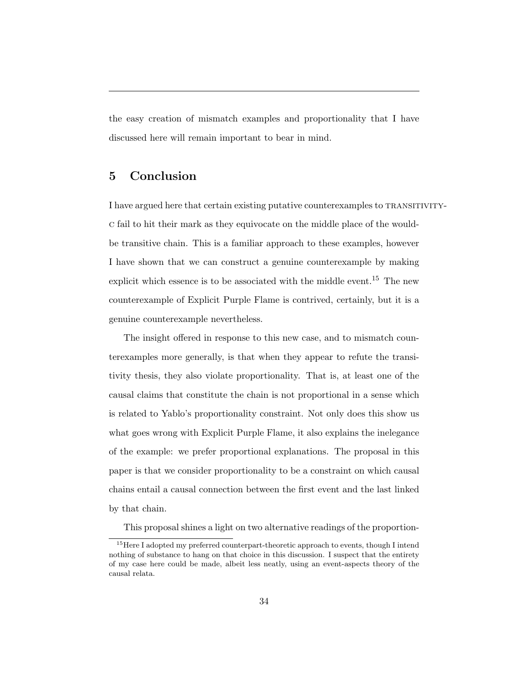the easy creation of mismatch examples and proportionality that I have discussed here will remain important to bear in mind.

# 5 Conclusion

I have argued here that certain existing putative counterexamples to transitivityc fail to hit their mark as they equivocate on the middle place of the wouldbe transitive chain. This is a familiar approach to these examples, however I have shown that we can construct a genuine counterexample by making explicit which essence is to be associated with the middle event.<sup>15</sup> The new counterexample of Explicit Purple Flame is contrived, certainly, but it is a genuine counterexample nevertheless.

The insight offered in response to this new case, and to mismatch counterexamples more generally, is that when they appear to refute the transitivity thesis, they also violate proportionality. That is, at least one of the causal claims that constitute the chain is not proportional in a sense which is related to Yablo's proportionality constraint. Not only does this show us what goes wrong with Explicit Purple Flame, it also explains the inelegance of the example: we prefer proportional explanations. The proposal in this paper is that we consider proportionality to be a constraint on which causal chains entail a causal connection between the first event and the last linked by that chain.

This proposal shines a light on two alternative readings of the proportion-

<sup>&</sup>lt;sup>15</sup>Here I adopted my preferred counterpart-theoretic approach to events, though I intend nothing of substance to hang on that choice in this discussion. I suspect that the entirety of my case here could be made, albeit less neatly, using an event-aspects theory of the causal relata.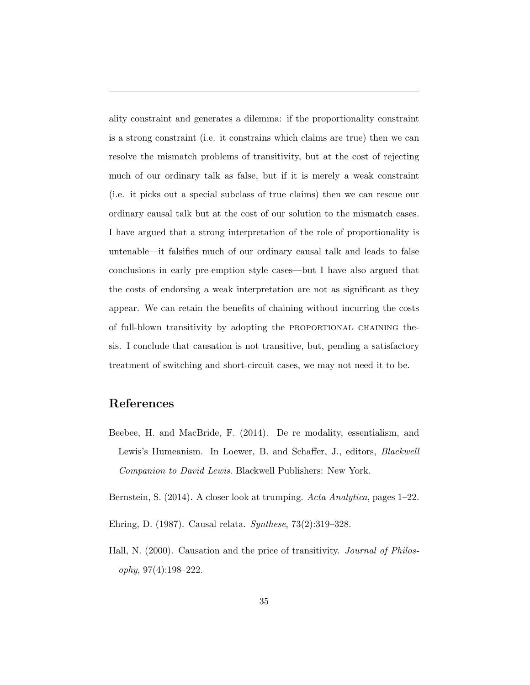ality constraint and generates a dilemma: if the proportionality constraint is a strong constraint (i.e. it constrains which claims are true) then we can resolve the mismatch problems of transitivity, but at the cost of rejecting much of our ordinary talk as false, but if it is merely a weak constraint (i.e. it picks out a special subclass of true claims) then we can rescue our ordinary causal talk but at the cost of our solution to the mismatch cases. I have argued that a strong interpretation of the role of proportionality is untenable—it falsifies much of our ordinary causal talk and leads to false conclusions in early pre-emption style cases—but I have also argued that the costs of endorsing a weak interpretation are not as significant as they appear. We can retain the benefits of chaining without incurring the costs of full-blown transitivity by adopting the PROPORTIONAL CHAINING thesis. I conclude that causation is not transitive, but, pending a satisfactory treatment of switching and short-circuit cases, we may not need it to be.

## References

- Beebee, H. and MacBride, F. (2014). De re modality, essentialism, and Lewis's Humeanism. In Loewer, B. and Schaffer, J., editors, *Blackwell Companion to David Lewis*. Blackwell Publishers: New York.
- Bernstein, S. (2014). A closer look at trumping. *Acta Analytica*, pages 1–22.
- Ehring, D. (1987). Causal relata. *Synthese*, 73(2):319–328.
- Hall, N. (2000). Causation and the price of transitivity. *Journal of Philosophy*, 97(4):198–222.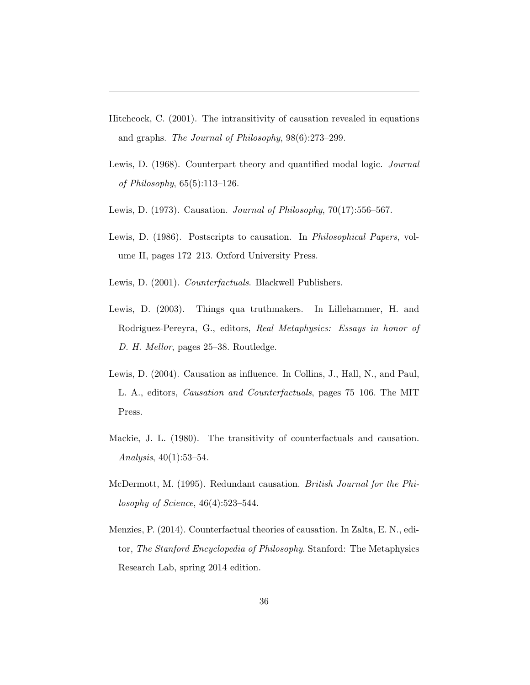- Hitchcock, C. (2001). The intransitivity of causation revealed in equations and graphs. *The Journal of Philosophy*, 98(6):273–299.
- Lewis, D. (1968). Counterpart theory and quantified modal logic. *Journal of Philosophy*, 65(5):113–126.
- Lewis, D. (1973). Causation. *Journal of Philosophy*, 70(17):556–567.
- Lewis, D. (1986). Postscripts to causation. In *Philosophical Papers*, volume II, pages 172–213. Oxford University Press.
- Lewis, D. (2001). *Counterfactuals*. Blackwell Publishers.
- Lewis, D. (2003). Things qua truthmakers. In Lillehammer, H. and Rodriguez-Pereyra, G., editors, *Real Metaphysics: Essays in honor of D. H. Mellor*, pages 25–38. Routledge.
- Lewis, D. (2004). Causation as influence. In Collins, J., Hall, N., and Paul, L. A., editors, *Causation and Counterfactuals*, pages 75–106. The MIT Press.
- Mackie, J. L. (1980). The transitivity of counterfactuals and causation. *Analysis*, 40(1):53–54.
- McDermott, M. (1995). Redundant causation. *British Journal for the Philosophy of Science*, 46(4):523–544.
- Menzies, P. (2014). Counterfactual theories of causation. In Zalta, E. N., editor, *The Stanford Encyclopedia of Philosophy*. Stanford: The Metaphysics Research Lab, spring 2014 edition.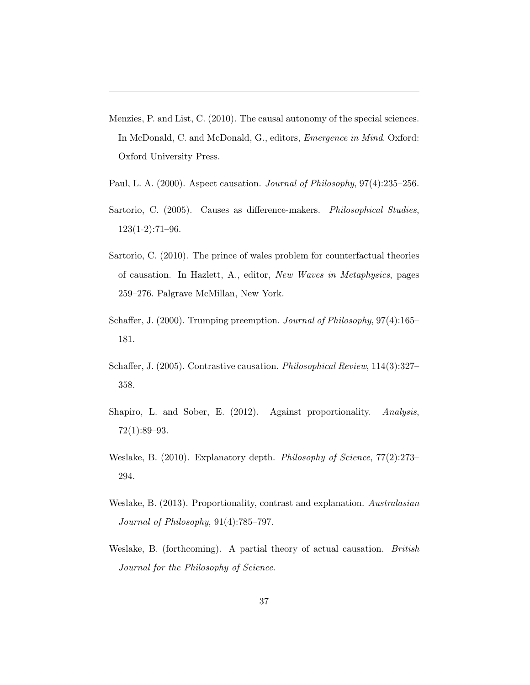- Menzies, P. and List, C. (2010). The causal autonomy of the special sciences. In McDonald, C. and McDonald, G., editors, *Emergence in Mind*. Oxford: Oxford University Press.
- Paul, L. A. (2000). Aspect causation. *Journal of Philosophy*, 97(4):235–256.
- Sartorio, C. (2005). Causes as difference-makers. *Philosophical Studies*, 123(1-2):71–96.
- Sartorio, C. (2010). The prince of wales problem for counterfactual theories of causation. In Hazlett, A., editor, *New Waves in Metaphysics*, pages 259–276. Palgrave McMillan, New York.
- Schaffer, J. (2000). Trumping preemption. *Journal of Philosophy*, 97(4):165– 181.
- Schaffer, J. (2005). Contrastive causation. *Philosophical Review*, 114(3):327– 358.
- Shapiro, L. and Sober, E. (2012). Against proportionality. *Analysis*, 72(1):89–93.
- Weslake, B. (2010). Explanatory depth. *Philosophy of Science*, 77(2):273– 294.
- Weslake, B. (2013). Proportionality, contrast and explanation. *Australasian Journal of Philosophy*, 91(4):785–797.
- Weslake, B. (forthcoming). A partial theory of actual causation. *British Journal for the Philosophy of Science*.